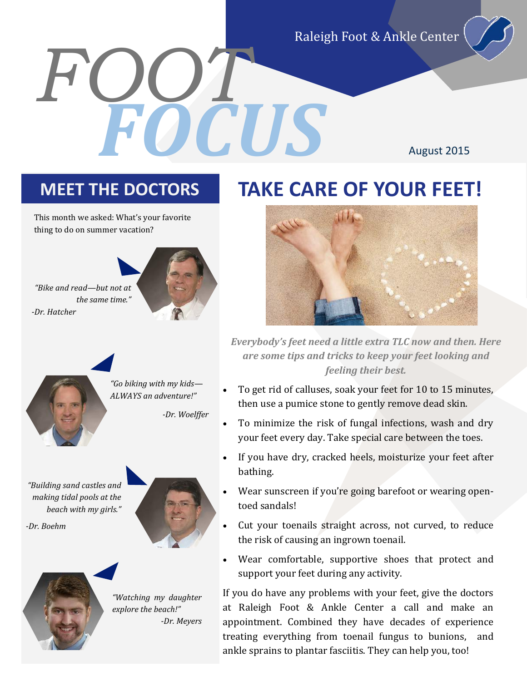Raleigh Foot & Ankle Center

August 2015

*FOOT*

This month we asked: What's your favorite thing to do on summer vacation?



*-Dr. Hatcher*





*"Go biking with my kids— ALWAYS an adventure!"*

*-Dr. Woelffer*

*"Building sand castles and making tidal pools at the beach with my girls."*

*-Dr. Boehm*





*"Watching my daughter explore the beach!" -Dr. Meyers*

### **MEET THE DOCTORS TAKE CARE OF YOUR FEET!**

*FOCUS*



*Everybody's feet need a little extra TLC now and then. Here are some tips and tricks to keep your feet looking and feeling their best.*

- To get rid of calluses, soak your feet for 10 to 15 minutes, then use a pumice stone to gently remove dead skin.
- To minimize the risk of fungal infections, wash and dry your feet every day. Take special care between the toes.
- If you have dry, cracked heels, moisturize your feet after bathing.
- Wear sunscreen if you're going barefoot or wearing opentoed sandals!
- Cut your toenails straight across, not curved, to reduce the risk of causing an ingrown toenail.
- Wear comfortable, supportive shoes that protect and support your feet during any activity.

If you do have any problems with your feet, give the doctors at Raleigh Foot & Ankle Center a call and make an appointment. Combined they have decades of experience treating everything from toenail fungus to bunions, and ankle sprains to plantar fasciitis. They can help you, too!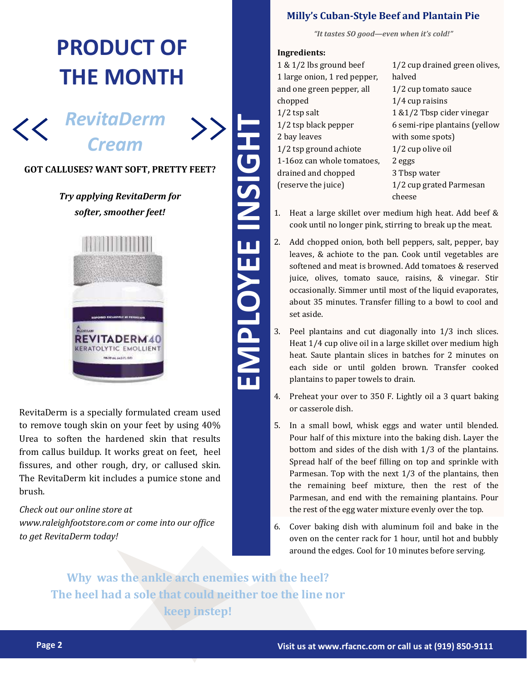## **PRODUCT OF THE MONTH**



#### **GOT CALLUSES? WANT SOFT, PRETTY FEET?**

>>

### *Try applying RevitaDerm for softer, smoother feet!*



RevitaDerm is a specially formulated cream used to remove tough skin on your feet by using 40% Urea to soften the hardened skin that results from callus buildup. It works great on feet, heel fissures, and other rough, dry, or callused skin. The RevitaDerm kit includes a pumice stone and brush.

### *Check out our online store at*

*www.raleighfootstore.com or come into our office to get RevitaDerm today!*

### **Milly's Cuban-Style Beef and Plantain Pie**

*"It tastes SO good—even when it's cold!"*

#### **Ingredients:**

- 1 & 1/2 lbs ground beef 1 large onion, 1 red pepper, and one green pepper, all chopped 1/2 tsp salt 1/2 tsp black pepper 2 bay leaves 1/2 tsp ground achiote 1-16oz can whole tomatoes, drained and chopped (reserve the juice) 1/2 cup drained green olives, halved 1/2 cup tomato sauce 1/4 cup raisins 1 &1/2 Tbsp cider vinegar 6 semi-ripe plantains (yellow with some spots) 1/2 cup olive oil 2 eggs 3 Tbsp water 1/2 cup grated Parmesan cheese
- 1. Heat a large skillet over medium high heat. Add beef & cook until no longer pink, stirring to break up the meat.
- 2. Add chopped onion, both bell peppers, salt, pepper, bay leaves, & achiote to the pan. Cook until vegetables are softened and meat is browned. Add tomatoes & reserved juice, olives, tomato sauce, raisins, & vinegar. Stir occasionally. Simmer until most of the liquid evaporates, about 35 minutes. Transfer filling to a bowl to cool and set aside.
- 3. Peel plantains and cut diagonally into 1/3 inch slices. Heat 1/4 cup olive oil in a large skillet over medium high heat. Saute plantain slices in batches for 2 minutes on each side or until golden brown. Transfer cooked plantains to paper towels to drain.
- 4. Preheat your over to 350 F. Lightly oil a 3 quart baking or casserole dish.
- **Page 1921 COPY THE CONSULT CONSULTS AND CONSULTS THE CONSULTS WANT SOFT, PRETTY FEETY (2019) 22 UNIT WAS CONSULTED TO A UNIT WAS CONSULTED AND CONSULTED A SUBSERVIEW OR CONSULTED A SUBSERVIEW CONSULTED A SUBSERVIEW OF CON** 5. In a small bowl, whisk eggs and water until blended. Pour half of this mixture into the baking dish. Layer the bottom and sides of the dish with 1/3 of the plantains. Spread half of the beef filling on top and sprinkle with Parmesan. Top with the next 1/3 of the plantains, then the remaining beef mixture, then the rest of the Parmesan, and end with the remaining plantains. Pour the rest of the egg water mixture evenly over the top.
	- 6. Cover baking dish with aluminum foil and bake in the oven on the center rack for 1 hour, until hot and bubbly around the edges. Cool for 10 minutes before serving.

**Why was the ankle arch enemies with the heel? The heel had a sole that could neither toe the line nor keep instep!**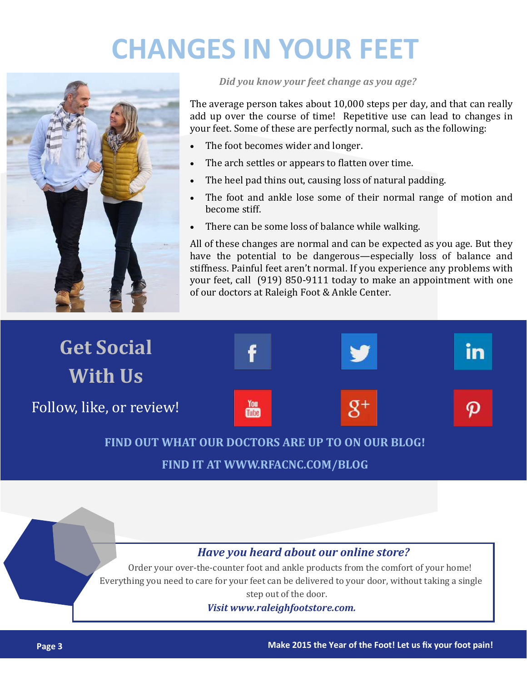# **CHANGES IN YOUR FEET**



*Did you know your feet change as you age?*

The average person takes about 10,000 steps per day, and that can really add up over the course of time! Repetitive use can lead to changes in your feet. Some of these are perfectly normal, such as the following:

- The foot becomes wider and longer.
- The arch settles or appears to flatten over time.
- The heel pad thins out, causing loss of natural padding.
- The foot and ankle lose some of their normal range of motion and become stiff.
- There can be some loss of balance while walking.

All of these changes are normal and can be expected as you age. But they have the potential to be dangerous—especially loss of balance and stiffness. Painful feet aren't normal. If you experience any problems with your feet, call (919) 850-9111 today to make an appointment with one of our doctors at Raleigh Foot & Ankle Center.



### **FIND OUT WHAT OUR DOCTORS ARE UP TO ON OUR BLOG!**

**FIND IT AT WWW.RFACNC.COM/BLOG**

### *Have you heard about our online store?*

Order your over-the-counter foot and ankle products from the comfort of your home! Everything you need to care for your feet can be delivered to your door, without taking a single step out of the door.

*Visit www.raleighfootstore.com.*